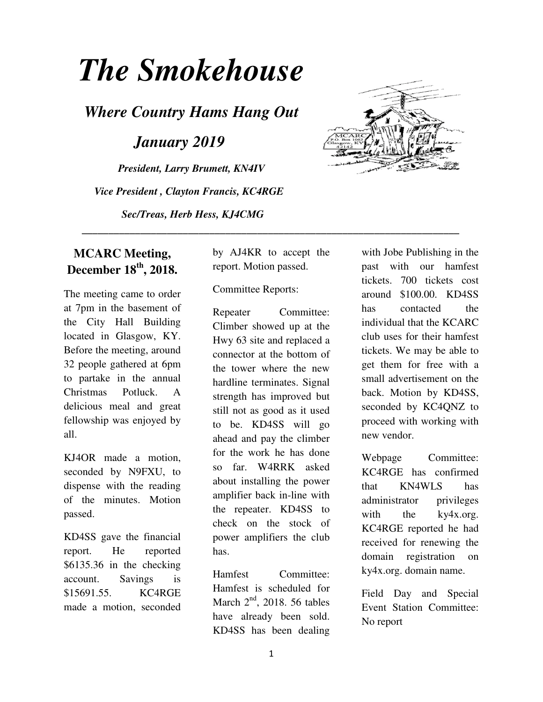# *The Smokehouse*

*Where Country Hams Hang Out* 

*January 2019* 

*President, Larry Brumett, KN4IV Vice President , Clayton Francis, KC4RGE Sec/Treas, Herb Hess, KJ4CMG* 



The meeting came to order at 7pm in the basement of the City Hall Building located in Glasgow, KY. Before the meeting, around 32 people gathered at 6pm to partake in the annual Christmas Potluck. A delicious meal and great fellowship was enjoyed by all.

KJ4OR made a motion, seconded by N9FXU, to dispense with the reading of the minutes. Motion passed.

KD4SS gave the financial report. He reported \$6135.36 in the checking account. Savings is \$15691.55. KC4RGE made a motion, seconded

by AJ4KR to accept the report. Motion passed.

 **\_\_\_\_\_\_\_\_\_\_\_\_\_\_\_\_\_\_\_\_\_\_\_\_\_\_\_\_\_\_\_\_\_\_\_\_\_\_\_\_\_\_\_\_\_\_\_\_\_\_\_\_\_\_\_\_\_\_\_\_\_\_\_\_\_\_\_\_\_\_\_** 

### Committee Reports:

Repeater Committee: Climber showed up at the Hwy 63 site and replaced a connector at the bottom of the tower where the new hardline terminates. Signal strength has improved but still not as good as it used to be. KD4SS will go ahead and pay the climber for the work he has done so far. W4RRK asked about installing the power amplifier back in-line with the repeater. KD4SS to check on the stock of power amplifiers the club has.

Hamfest Committee: Hamfest is scheduled for March  $2<sup>nd</sup>$ , 2018. 56 tables have already been sold. KD4SS has been dealing



with Jobe Publishing in the past with our hamfest tickets. 700 tickets cost around \$100.00. KD4SS has contacted the individual that the KCARC club uses for their hamfest tickets. We may be able to get them for free with a small advertisement on the back. Motion by KD4SS, seconded by KC4QNZ to proceed with working with new vendor.

Webpage Committee: KC4RGE has confirmed that KN4WLS has administrator privileges with the ky4x.org. KC4RGE reported he had received for renewing the domain registration on ky4x.org. domain name.

Field Day and Special Event Station Committee: No report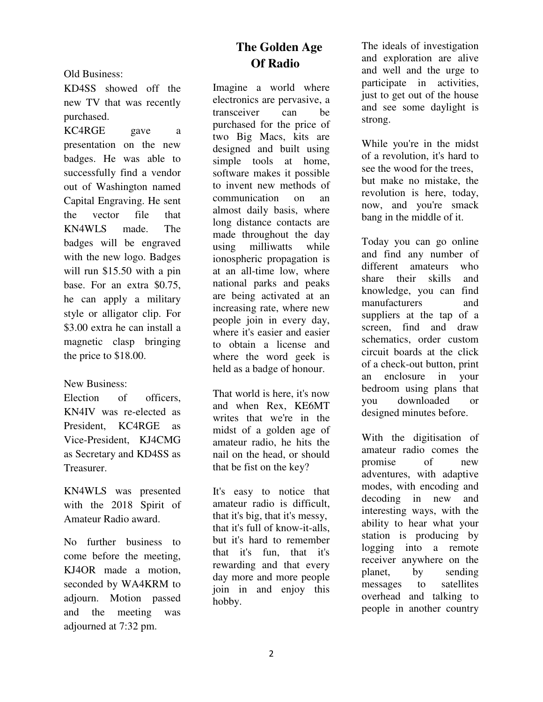Old Business:

KD4SS showed off the new TV that was recently purchased.

KC4RGE gave a presentation on the new badges. He was able to successfully find a vendor out of Washington named Capital Engraving. He sent the vector file that KN4WLS made. The badges will be engraved with the new logo. Badges will run \$15.50 with a pin base. For an extra \$0.75, he can apply a military style or alligator clip. For \$3.00 extra he can install a magnetic clasp bringing the price to \$18.00.

#### New Business:

Election of officers, KN4IV was re-elected as President, KC4RGE as Vice-President, KJ4CMG as Secretary and KD4SS as Treasurer.

KN4WLS was presented with the 2018 Spirit of Amateur Radio award.

No further business to come before the meeting, KJ4OR made a motion, seconded by WA4KRM to adjourn. Motion passed and the meeting was adjourned at 7:32 pm.

# **The Golden Age Of Radio**

Imagine a world where electronics are pervasive, a transceiver can be purchased for the price of two Big Macs, kits are designed and built using simple tools at home, software makes it possible to invent new methods of communication on an almost daily basis, where long distance contacts are made throughout the day using milliwatts while ionospheric propagation is at an all-time low, where national parks and peaks are being activated at an increasing rate, where new people join in every day, where it's easier and easier to obtain a license and where the word geek is held as a badge of honour.

That world is here, it's now and when Rex, KE6MT writes that we're in the midst of a golden age of amateur radio, he hits the nail on the head, or should that be fist on the key?

It's easy to notice that amateur radio is difficult, that it's big, that it's messy, that it's full of know-it-alls, but it's hard to remember that it's fun, that it's rewarding and that every day more and more people join in and enjoy this hobby.

The ideals of investigation and exploration are alive and well and the urge to participate in activities, just to get out of the house and see some daylight is strong.

While you're in the midst of a revolution, it's hard to see the wood for the trees, but make no mistake, the revolution is here, today, now, and you're smack bang in the middle of it.

Today you can go online and find any number of different amateurs who share their skills and knowledge, you can find manufacturers and suppliers at the tap of a screen, find and draw schematics, order custom circuit boards at the click of a check-out button, print an enclosure in your bedroom using plans that you downloaded or designed minutes before.

With the digitisation of amateur radio comes the promise of new adventures, with adaptive modes, with encoding and decoding in new and interesting ways, with the ability to hear what your station is producing by logging into a remote receiver anywhere on the planet, by sending messages to satellites overhead and talking to people in another country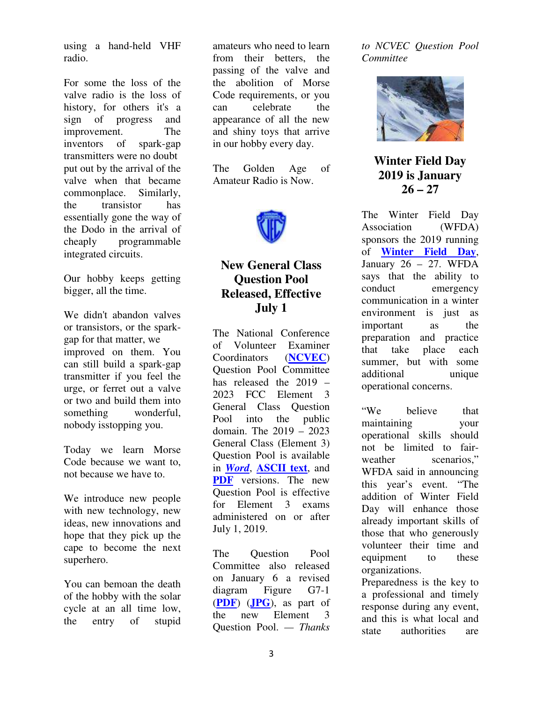using a hand-held VHF radio.

For some the loss of the valve radio is the loss of history, for others it's a sign of progress and improvement. The inventors of spark-gap transmitters were no doubt put out by the arrival of the valve when that became commonplace. Similarly, the transistor has essentially gone the way of the Dodo in the arrival of cheaply programmable integrated circuits.

Our hobby keeps getting bigger, all the time.

We didn't abandon valves or transistors, or the sparkgap for that matter, we improved on them. You can still build a spark-gap transmitter if you feel the urge, or ferret out a valve or two and build them into something wonderful, nobody isstopping you.

Today we learn Morse Code because we want to, not because we have to.

We introduce new people with new technology, new ideas, new innovations and hope that they pick up the cape to become the next superhero.

You can bemoan the death of the hobby with the solar cycle at an all time low, the entry of stupid

amateurs who need to learn from their betters, the passing of the valve and the abolition of Morse Code requirements, or you can celebrate the appearance of all the new and shiny toys that arrive in our hobby every day.

The Golden Age of Amateur Radio is Now.



# **New General Class Question Pool Released, Effective July 1**

The National Conference of Volunteer Examiner Coordinators (**NCVEC**) Question Pool Committee has released the 2019 – 2023 FCC Element 3 General Class Question Pool into the public domain. The 2019 – 2023 General Class (Element 3) Question Pool is available in *Word*, **ASCII text**, and **PDF** versions. The new Question Pool is effective for Element 3 exams administered on or after July 1, 2019.

The Question Pool Committee also released on January 6 a revised diagram Figure G7-1 (**PDF**) (**JPG**), as part of the new Element 3 Question Pool. *— Thanks*  *to NCVEC Question Pool Committee*



**Winter Field Day 2019 is January 26 – 27** 

The Winter Field Day Association (WFDA) sponsors the 2019 running of **Winter Field Day**, January 26 – 27. WFDA says that the ability to conduct emergency communication in a winter environment is just as important as the preparation and practice<br>that take place each that take place each summer, but with some additional unique operational concerns.

"We believe that maintaining your operational skills should not be limited to fairweather scenarios," WFDA said in announcing this year's event. "The addition of Winter Field Day will enhance those already important skills of those that who generously volunteer their time and equipment to these organizations.

Preparedness is the key to a professional and timely response during any event, and this is what local and state authorities are